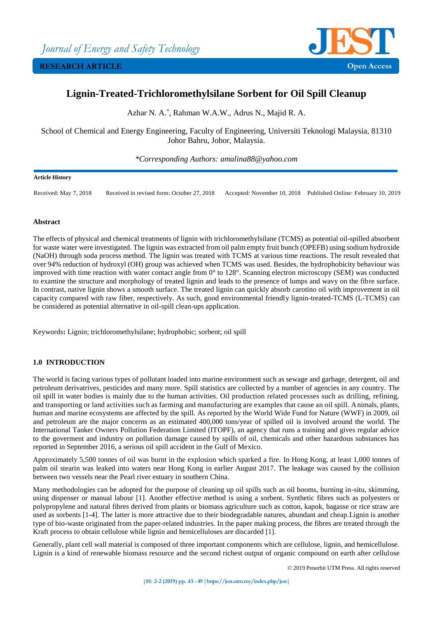

# **Lignin-Treated-Trichloromethylsilane Sorbent for Oil Spill Cleanup**

Azhar N. A.\* , Rahman W.A.W., Adrus N., Majid R. A.

School of Chemical and Energy Engineering, Faculty of Engineering, Universiti Teknologi Malaysia, 81310 Johor Bahru, Johor, Malaysia.

*\*Corresponding Authors: amalina88@yahoo.com*

### **Article History**

Received: May 7, 2018 Received in revised form: October 27, 2018 Accepted: November 10, 2018 Published Online: February 10, 2019

## **Abstract**

The effects of physical and chemical treatments of lignin with trichloromethylsilane (TCMS) as potential oil-spilled absorbent for waste water were investigated. The lignin was extracted from oil palm empty fruit bunch (OPEFB) using sodium hydroxide (NaOH) through soda process method. The lignin was treated with TCMS at various time reactions. The result revealed that over 94% reduction of hydroxyl (OH) group was achieved when TCMS was used. Besides, the hydrophobicity behaviour was improved with time reaction with water contact angle from 0° to 128°. Scanning electron microscopy (SEM) was conducted to examine the structure and morphology of treated lignin and leads to the presence of lumps and wavy on the fibre surface. In contrast, native lignin shows a smooth surface. The treated lignin can quickly absorb carotino oil with improvement in oil capacity compared with raw fiber, respectively. As such, good environmental friendly lignin-treated-TCMS (L-TCMS) can be considered as potential alternative in oil-spill clean-ups application.

Keywords**:** Lignin; trichloromethylsilane; hydrophobic; sorbent; oil spill

# **1.0 INTRODUCTION**

The world is facing various types of pollutant loaded into marine environment such as sewage and garbage, detergent, oil and petroleum derivatrives, pesticides and many more. Spill statistics are collected by a number of agencies in any country. The oil spill in water bodies is mainly due to the human activities. Oil production related processes such as drilling, refining, and transporting or land activities such as farming and manufacturing are examples that cause an oil spill. Animals, plants, human and marine ecosystems are affected by the spill. As reported by the World Wide Fund for Nature (WWF) in 2009, oil and petroleum are the major concerns as an estimated 400,000 tons/year of spilled oil is involved around the world. The International Tanker Owners Pollution Federation Limited (ITOPF), an agency that runs a training and gives regular advice to the goverment and industry on pollution damage caused by spills of oil, chemicals and other hazardous substances has reported in September 2016, a serious oil spill accident in the Gulf of Mexico.

Approximately 5,500 tonnes of oil was burnt in the explosion which sparked a fire. In Hong Kong, at least 1,000 tonnes of palm oil stearin was leaked into waters near Hong Kong in earlier August 2017. The leakage was caused by the collision between two vessels near the Pearl river estuary in southern China.

Many methodologies can be adopted for the purpose of cleaning up oil spills such as oil booms, burning in-situ, skimming, using dispenser or manual labour [1]. Another effective method is using a sorbent. Synthetic fibres such as polyesters or polypropylene and natural fibres derived from plants or biomass agriculture such as cotton, kapok, bagasse or rice straw are used as sorbents [1-4]. The latter is more attractive due to their biodegradable natures, abundant and cheap.Lignin is another type of bio-waste originated from the paper-related industries. In the paper making process, the fibres are treated through the Kraft process to obtain cellulose while lignin and hemicelluloses are discarded [1].

Generally, plant cell wall material is composed of three important components which are cellulose, lignin, and hemicellulose. Lignin is a kind of renewable biomass resource and the second richest output of organic compound on earth after cellulose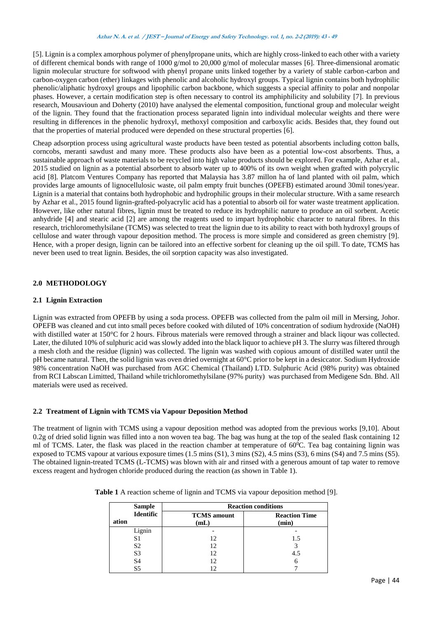### **Azhar N. A. et al. / JEST – Journal of Energy and Safety Technology. vol. 1, no. 2-2 (2019): <sup>43</sup> - <sup>49</sup>**

[5]. Lignin is a complex amorphous polymer of phenylpropane units, which are highly cross-linked to each other with a variety of different chemical bonds with range of 1000 g/mol to 20,000 g/mol of molecular masses [6]. Three-dimensional aromatic lignin molecular structure for softwood with phenyl propane units linked together by a variety of stable carbon-carbon and carbon-oxygen carbon (ether) linkages with phenolic and alcoholic hydroxyl groups. Typical lignin contains both hydrophilic phenolic/aliphatic hydroxyl groups and lipophilic carbon backbone, which suggests a special affinity to polar and nonpolar phases. However, a certain modification step is often necessary to control its amphiphilicity and solubility [7]. In previous research, Mousavioun and Doherty (2010) have analysed the elemental composition, functional group and molecular weight of the lignin. They found that the fractionation process separated lignin into individual molecular weights and there were resulting in differences in the phenolic hydroxyl, methoxyl composition and carboxylic acids. Besides that, they found out that the properties of material produced were depended on these structural properties [6].

Cheap adsorption process using agricultural waste products have been tested as potential absorbents including cotton balls, corncobs, meranti sawdust and many more. These products also have been as a potential low-cost absorbents. Thus, a sustainable approach of waste materials to be recycled into high value products should be explored. For example, Azhar et al., 2015 studied on lignin as a potential absorbent to absorb water up to 400% of its own weight when grafted with polycrylic acid [8]. Platcom Ventures Company has reported that Malaysia has 3.87 millon ha of land planted with oil palm, which provides large amounts of lignocellulosic waste, oil palm empty fruit bunches (OPEFB) estimated around 30mil tones/year. Lignin is a material that contains both hydrophobic and hydrophilic groups in their molecular structure. With a same research by Azhar et al., 2015 found lignin-grafted-polyacrylic acid has a potential to absorb oil for water waste treatment application. However, like other natural fibres, lignin must be treated to reduce its hydrophilic nature to produce an oil sorbent. Acetic anhydride [4] and stearic acid [2] are among the reagents used to impart hydrophobic character to natural fibres. In this research, trichloromethylsilane (TCMS) was selected to treat the lignin due to its ability to react with both hydroxyl groups of cellulose and water through vapour deposition method. The process is more simple and considered as green chemistry [9]. Hence, with a proper design, lignin can be tailored into an effective sorbent for cleaning up the oil spill. To date, TCMS has never been used to treat lignin. Besides, the oil sorption capacity was also investigated.

# **2.0 METHODOLOGY**

# **2.1 Lignin Extraction**

Lignin was extracted from OPEFB by using a soda process. OPEFB was collected from the palm oil mill in Mersing, Johor. OPEFB was cleaned and cut into small peces before cooked with diluted of 10% concentration of sodium hydroxide (NaOH) with distilled water at 150°C for 2 hours. Fibrous materials were removed through a strainer and black liqour was collected. Later, the diluted 10% of sulphuric acid was slowly added into the black liquor to achieve pH 3. The slurry was filtered through a mesh cloth and the residue (lignin) was collected. The lignin was washed with copious amount of distilled water until the pH became natural. Then, the solid lignin was oven dried overnight at 60°C prior to be kept in a desiccator. Sodium Hydroxide 98% concentration NaOH was purchased from AGC Chemical (Thailand) LTD. Sulphuric Acid (98% purity) was obtained from RCI Labscan Limitted, Thailand while trichloromethylsilane (97% purity) was purchased from Medigene Sdn. Bhd. All materials were used as received.

# **2.2 Treatment of Lignin with TCMS via Vapour Deposition Method**

The treatment of lignin with TCMS using a vapour deposition method was adopted from the previous works [9,10]. About 0.2g of dried solid lignin was filled into a non woven tea bag. The bag was hung at the top of the sealed flask containing 12 ml of TCMS. Later, the flask was placed in the reaction chamber at temperature of  $60^{\circ}$ C. Tea bag containing lignin was exposed to TCMS vapour at various exposure times (1.5 mins (S1), 3 mins (S2), 4.5 mins (S3), 6 mins (S4) and 7.5 mins (S5). The obtained lignin-treated TCMS (L-TCMS) was blown with air and rinsed with a generous amount of tap water to remove excess reagent and hydrogen chloride produced during the reaction (as shown in Table 1).

|       | <b>Sample</b>    | <b>Reaction conditions</b> |                               |  |
|-------|------------------|----------------------------|-------------------------------|--|
| ation | <b>Identific</b> | <b>TCMS</b> amount<br>(mL) | <b>Reaction Time</b><br>(min) |  |
|       | Lignin           |                            |                               |  |
|       | S1               | 12                         | 1.5                           |  |
|       | S <sub>2</sub>   | 12                         |                               |  |
|       | S <sub>3</sub>   | 12                         | 4.5                           |  |
|       | S <sub>4</sub>   | 12                         |                               |  |
|       | S5               |                            |                               |  |

**Table 1** A reaction scheme of lignin and TCMS via vapour deposition method [9].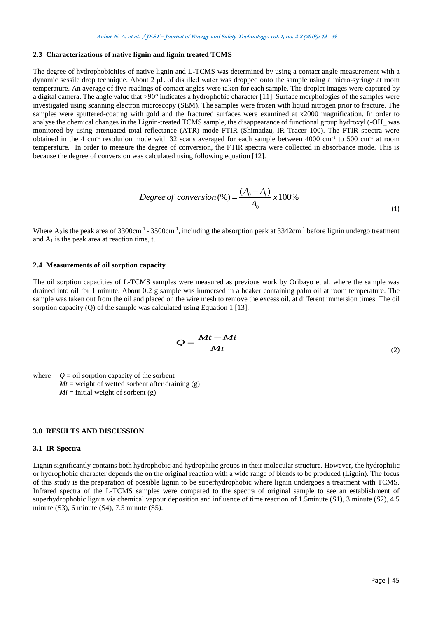### **2.3 Characterizations of native lignin and lignin treated TCMS**

The degree of hydrophobicities of native lignin and L-TCMS was determined by using a contact angle measurement with a dynamic sessile drop technique. About 2 μL of distilled water was dropped onto the sample using a micro-syringe at room temperature. An average of five readings of contact angles were taken for each sample. The droplet images were captured by a digital camera. The angle value that  $>90^\circ$  indicates a hydrophobic character [11]. Surface morphologies of the samples were investigated using scanning electron microscopy (SEM). The samples were frozen with liquid nitrogen prior to fracture. The samples were sputtered-coating with gold and the fractured surfaces were examined at x2000 magnification. In order to analyse the chemical changes in the Lignin-treated TCMS sample, the disappearance of functional group hydroxyl (-OH\_ was monitored by using attenuated total reflectance (ATR) mode FTIR (Shimadzu, IR Tracer 100). The FTIR spectra were obtained in the 4 cm<sup>-1</sup> resolution mode with 32 scans averaged for each sample between 4000 cm<sup>-1</sup> to 500 cm<sup>-1</sup> at room temperature. In order to measure the degree of conversion, the FTIR spectra were collected in absorbance mode. This is because the degree of conversion was calculated using following equation [12].

$$
Degree of conversion (%) = \frac{(A_0 - A_t)}{A_0} \times 100\%
$$
\n(1)

Where  $A_0$  is the peak area of 3300cm<sup>-1</sup> - 3500cm<sup>-1</sup>, including the absorption peak at 3342cm<sup>-1</sup> before lignin undergo treatment and  $A_1$  is the peak area at reaction time, t.

#### **2.4 Measurements of oil sorption capacity**

The oil sorption capacities of L-TCMS samples were measured as previous work by Oribayo et al. where the sample was drained into oil for 1 minute. About 0.2 g sample was immersed in a beaker containing palm oil at room temperature. The sample was taken out from the oil and placed on the wire mesh to remove the excess oil, at different immersion times. The oil sorption capacity (Q) of the sample was calculated using Equation 1 [13].

$$
Q = \frac{Mt - Mi}{Mi}
$$
 (2)

where  $Q = \text{oil}$  sorption capacity of the sorbent  $Mt$  = weight of wetted sorbent after draining (g)  $Mi$  = initial weight of sorbent (g)

## **3.0 RESULTS AND DISCUSSION**

#### **3.1 IR-Spectra**

Lignin significantly contains both hydrophobic and hydrophilic groups in their molecular structure. However, the hydrophilic or hydrophobic character depends the on the original reaction with a wide range of blends to be produced (Lignin). The focus of this study is the preparation of possible lignin to be superhydrophobic where lignin undergoes a treatment with TCMS. Infrared spectra of the L-TCMS samples were compared to the spectra of original sample to see an establishment of superhydrophobic lignin via chemical vapour deposition and influence of time reaction of 1.5minute (S1), 3 minute (S2), 4.5 minute (S3), 6 minute (S4), 7.5 minute (S5).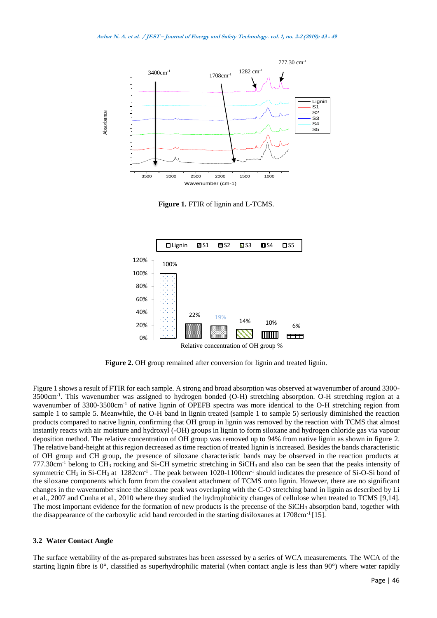

**Figure 1.** FTIR of lignin and L-TCMS.



**Figure 2.** OH group remained after conversion for lignin and treated lignin.

Figure 1 shows a result of FTIR for each sample. A strong and broad absorption was observed at wavenumber of around 3300- 3500cm-1 . This wavenumber was assigned to hydrogen bonded (O-H) stretching absorption. O-H stretching region at a wavenumber of 3300-3500cm<sup>-1</sup> of native lignin of OPEFB spectra was more identical to the O-H stretching region from sample 1 to sample 5. Meanwhile, the O-H band in lignin treated (sample 1 to sample 5) seriously diminished the reaction products compared to native lignin, confirming that OH group in lignin was removed by the reaction with TCMS that almost instantly reacts with air moisture and hydroxyl (-OH) groups in lignin to form siloxane and hydrogen chloride gas via vapour deposition method. The relative concentration of OH group was removed up to 94% from native lignin as shown in figure 2. The relative band-height at this region decreased as time reaction of treated lignin is increased. Besides the bands characteristic of OH group and CH group, the presence of siloxane characteristic bands may be observed in the reaction products at  $777.30 \text{cm}^{-1}$  belong to CH<sub>3</sub> rocking and Si-CH symetric stretching in SiCH<sub>3</sub> and also can be seen that the peaks intensity of symmetric CH<sub>3</sub> in Si-CH<sub>3</sub> at  $1282 \text{cm}^{-1}$ . The peak between  $1020-1100 \text{cm}^{-1}$  should indicates the presence of Si-O-Si bond of the siloxane components which form from the covalent attachment of TCMS onto lignin. However, there are no significant changes in the wavenumber since the siloxane peak was overlaping with the C-O stretching band in lignin as described by Li et al., 2007 and Cunha et al., 2010 where they studied the hydrophobicity changes of cellulose when treated to TCMS [9,14]. The most important evidence for the formation of new products is the precense of the SiCH<sub>3</sub> absorption band, together with the disappearance of the carboxylic acid band rercorded in the starting disiloxanes at 1708cm<sup>-1</sup> [15].

### **3.2 Water Contact Angle**

The surface wettability of the as-prepared substrates has been assessed by a series of WCA measurements. The WCA of the starting lignin fibre is 0°, classified as superhydrophilic material (when contact angle is less than 90°) where water rapidly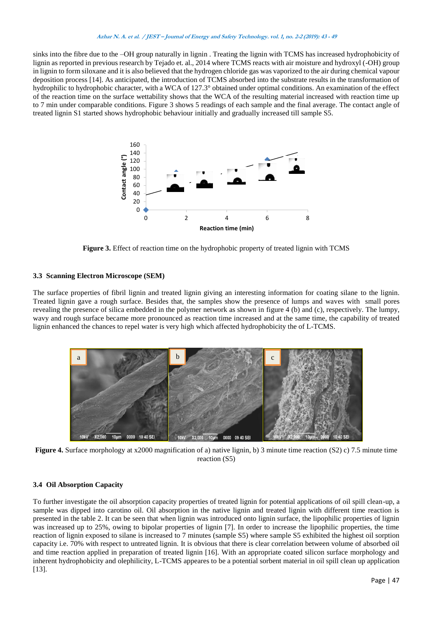#### **Azhar N. A. et al. / JEST – Journal of Energy and Safety Technology. vol. 1, no. 2-2 (2019): <sup>43</sup> - <sup>49</sup>**

sinks into the fibre due to the –OH group naturally in lignin . Treating the lignin with TCMS has increased hydrophobicity of lignin as reported in previous research by Tejado et. al., 2014 where TCMS reacts with air moisture and hydroxyl (-OH) group in lignin to form siloxane and it is also believed that the hydrogen chloride gas was vaporized to the air during chemical vapour deposition process [14]. As anticipated, the introduction of TCMS absorbed into the substrate results in the transformation of hydrophilic to hydrophobic character, with a WCA of 127.3° obtained under optimal conditions. An examination of the effect of the reaction time on the surface wettability shows that the WCA of the resulting material increased with reaction time up to 7 min under comparable conditions. Figure 3 shows 5 readings of each sample and the final average. The contact angle of treated lignin S1 started shows hydrophobic behaviour initially and gradually increased till sample S5.



**Figure 3.** Effect of reaction time on the hydrophobic property of treated lignin with TCMS

# **3.3 Scanning Electron Microscope (SEM)**

The surface properties of fibril lignin and treated lignin giving an interesting information for coating silane to the lignin. Treated lignin gave a rough surface. Besides that, the samples show the presence of lumps and waves with small pores revealing the presence of silica embedded in the polymer network as shown in figure 4 (b) and (c), respectively. The lumpy, wavy and rough surface became more pronounced as reaction time increased and at the same time, the capability of treated lignin enhanced the chances to repel water is very high which affected hydrophobicity the of L-TCMS.



**Figure 4.** Surface morphology at x2000 magnification of a) native lignin, b) 3 minute time reaction (S2) c) 7.5 minute time reaction (S5)

# **3.4 Oil Absorption Capacity**

To further investigate the oil absorption capacity properties of treated lignin for potential applications of oil spill clean-up, a sample was dipped into carotino oil. Oil absorption in the native lignin and treated lignin with different time reaction is presented in the table 2. It can be seen that when lignin was introduced onto lignin surface, the lipophilic properties of lignin was increased up to 25%, owing to bipolar properties of lignin [7]. In order to increase the lipophilic properties, the time reaction of lignin exposed to silane is increased to 7 minutes (sample S5) where sample S5 exhibited the highest oil sorption capacity i.e. 70% with respect to untreated lignin. It is obvious that there is clear correlation between volume of absorbed oil and time reaction applied in preparation of treated lignin [16]. With an appropriate coated silicon surface morphology and inherent hydrophobicity and olephilicity, L-TCMS appeares to be a potential sorbent material in oil spill clean up application [13].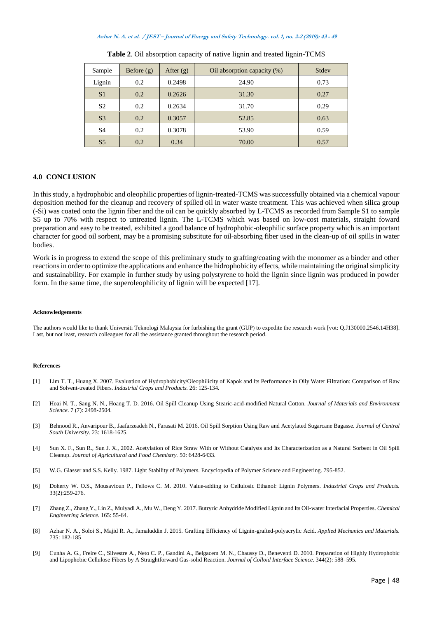#### **Azhar N. A. et al. / JEST – Journal of Energy and Safety Technology. vol. 1, no. 2-2 (2019): <sup>43</sup> - <sup>49</sup>**

| Sample         | Before $(g)$ | After $(g)$ | Oil absorption capacity (%) | Stdev |
|----------------|--------------|-------------|-----------------------------|-------|
| Lignin         | 0.2          | 0.2498      | 24.90                       | 0.73  |
| S <sub>1</sub> | 0.2          | 0.2626      | 31.30                       | 0.27  |
| S <sub>2</sub> | 0.2          | 0.2634      | 31.70                       | 0.29  |
| S <sub>3</sub> | 0.2          | 0.3057      | 52.85                       | 0.63  |
| S <sub>4</sub> | 0.2          | 0.3078      | 53.90                       | 0.59  |
| S <sub>5</sub> | 0.2          | 0.34        | 70.00                       | 0.57  |

**Table 2**. Oil absorption capacity of native lignin and treated lignin-TCMS

#### **4.0 CONCLUSION**

In this study, a hydrophobic and oleophilic properties of lignin-treated-TCMS was successfully obtained via a chemical vapour deposition method for the cleanup and recovery of spilled oil in water waste treatment. This was achieved when silica group (-Si) was coated onto the lignin fiber and the oil can be quickly absorbed by L-TCMS as recorded from Sample S1 to sample S5 up to 70% with respect to untreated lignin. The L-TCMS which was based on low-cost materials, straight foward preparation and easy to be treated, exhibited a good balance of hydrophobic-oleophilic surface property which is an important character for good oil sorbent, may be a promising substitute for oil-absorbing fiber used in the clean-up of oil spills in water bodies.

Work is in progress to extend the scope of this preliminary study to grafting/coating with the monomer as a binder and other reactions in order to optimize the applications and enhance the hidrophobicity effects, while maintaining the original simplicity and sustainability. For example in further study by using polystyrene to hold the lignin since lignin was produced in powder form. In the same time, the superoleophilicity of lignin will be expected [17].

#### **Acknowledgements**

The authors would like to thank Universiti Teknologi Malaysia for furbishing the grant (GUP) to expedite the research work [vot: Q.J130000.2546.14H38]. Last, but not least, research colleagues for all the assistance granted throughout the research period.

#### **References**

- [1] Lim T. T., Huang X. 2007. Evaluation of Hydrophobicity/Oleophilicity of Kapok and Its Performance in Oily Water Filtration: Comparison of Raw and Solvent-treated Fibers. *Industrial Crops and Products.* 26: 125-134.
- [2] Hoai N. T., Sang N. N., Hoang T. D. 2016. Oil Spill Cleanup Using Stearic-acid-modified Natural Cotton. *Journal of Materials and Environment Science*. 7 (7): 2498-2504.
- [3] Behnood R., Anvaripour B., Jaafarzeadeh N., Farasati M. 2016. Oil Spill Sorption Using Raw and Acetylated Sugarcane Bagasse. *Journal of Central South University.* 23: 1618-1625.
- [4] Sun X. F., Sun R., Sun J. X., 2002. Acetylation of Rice Straw With or Without Catalysts and Its Characterization as a Natural Sorbent in Oil Spill Cleanup. *Journal of Agricultural and Food Chemistry.* 50: 6428-6433.
- [5] W.G. Glasser and S.S. Kelly. 1987. Light Stability of Polymers. Encyclopedia of Polymer Science and Engineering. 795-852.
- [6] Doherty W. O.S., Mousavioun P., Fellows C. M. 2010. Value-adding to Cellulosic Ethanol: Lignin Polymers. *Industrial Crops and Products.*  33(2):259-276.
- [7] Zhang Z., Zhang Y., Lin Z., Mulyadi A., Mu W., Deng Y. 2017. Butryric Anhydride Modified Lignin and Its Oil-water Interfacial Properties. *Chemical Engineering Science*. 165: 55-64.
- [8] Azhar N. A., Soloi S., Majid R. A., Jamaluddin J. 2015. Grafting Efficiency of Lignin-grafted-polyacrylic Acid. *Applied Mechanics and Materials.* 735: 182-185
- [9] Cunha A. G., Freire C., Silvestre A., Neto C. P., Gandini A., Belgacem M. N., Chaussy D., Beneventi D. 2010. Preparation of Highly Hydrophobic and Lipophobic Cellulose Fibers by A Straightforward Gas-solid Reaction. *Journal of Colloid Interface Science*. 344(2): 588–595.